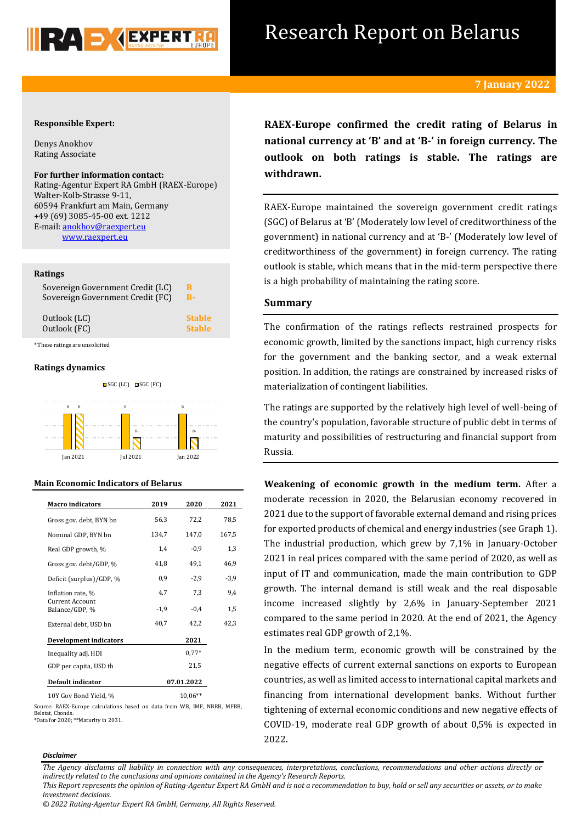

# Research Report on Belarus

# **7 January 2022**

# **Responsible Expert:**

Denys Anokhov Rating Associate

#### **For further information contact:**

Rating-Agentur Expert RA GmbH (RAEX-Europe) Walter-Kolb-Strasse 9-11, 60594 Frankfurt am Main, Germany +49 (69) 3085-45-00 ext. 1212 E-mail[: anokhov@raexpert.eu](mailto:anokhov@raexpert.eu) [www.raexpert.eu](http://raexpert.eu/)

#### **Ratings**

| Sovereign Government Credit (LC) | в             |
|----------------------------------|---------------|
| Sovereign Government Credit (FC) | в-            |
| Outlook (LC)                     | <b>Stable</b> |
| Outlook (FC)                     | <b>Stable</b> |

\* These ratings are unsolicited

# **Ratings dynamics**



Jan 2021 Jul 2021 Jan 2022

# **Main Economic Indicators of Belarus**

| <b>Macro</b> indicators           | 2019       | 2020    | 2021   |
|-----------------------------------|------------|---------|--------|
| Gross gov. debt, BYN bn           | 56,3       | 72,2    | 78,5   |
| Nominal GDP, BYN bn               | 134,7      | 147,0   | 167,5  |
| Real GDP growth, %                | 1,4        | $-0.9$  | 1,3    |
| Gross gov. debt/GDP, %            | 41,8       | 49,1    | 46,9   |
| Deficit (surplus)/GDP, %          | 0,9        | $-2,9$  | $-3,9$ |
| Inflation rate, %                 | 4,7        | 7,3     | 9,4    |
| Current Account<br>Balance/GDP, % | $-1,9$     | $-0.4$  | 1,5    |
| External debt, USD bn             | 40,7       | 42,2    | 42,3   |
| <b>Development indicators</b>     |            | 2021    |        |
| Inequality adj. HDI               |            | $0.77*$ |        |
| GDP per capita, USD th            |            | 21,5    |        |
| <b>Default indicator</b>          | 07.01.2022 |         |        |
|                                   |            |         |        |

10Y Gov Bond Yield, % 10,06\*\*

Source: RAEX-Europe calculations based on data from WB, IMF, NBRB, MFRB, Belstat, Cbonds. \*Data for 2020; \*\*Maturity in 2031.

**RAEX-Europe confirmed the credit rating of Belarus in national currency at 'B' and at 'B-' in foreign currency. The outlook on both ratings is stable. The ratings are withdrawn.**

RAEX-Europe maintained the sovereign government credit ratings (SGC) of Belarus at 'B' (Moderately low level of creditworthiness of the government) in national currency and at 'B-' (Moderately low level of creditworthiness of the government) in foreign currency. The rating outlook is stable, which means that in the mid-term perspective there is a high probability of maintaining the rating score.

# **Summary**

The confirmation of the ratings reflects restrained prospects for economic growth, limited by the sanctions impact, high currency risks for the government and the banking sector, and a weak external position. In addition, the ratings are constrained by increased risks of materialization of contingent liabilities.

The ratings are supported by the relatively high level of well-being of the country's population, favorable structure of public debt in terms of maturity and possibilities of restructuring and financial support from Russia.

**Weakening of economic growth in the medium term.** After a moderate recession in 2020, the Belarusian economy recovered in 2021 due to the support of favorable external demand and rising prices for exported products of chemical and energy industries (see Graph 1). The industrial production, which grew by 7,1% in January-October 2021 in real prices compared with the same period of 2020, as well as input of IT and communication, made the main contribution to GDP growth. The internal demand is still weak and the real disposable income increased slightly by 2,6% in January-September 2021 compared to the same period in 2020. At the end of 2021, the Agency estimates real GDP growth of 2,1%.

In the medium term, economic growth will be constrained by the negative effects of current external sanctions on exports to European countries, as well as limited access to international capital markets and financing from international development banks. Without further tightening of external economic conditions and new negative effects of COVID-19, moderate real GDP growth of about 0,5% is expected in 2022.

#### *Disclaimer*

*The Agency disclaims all liability in connection with any consequences, interpretations, conclusions, recommendations and other actions directly or indirectly related to the conclusions and opinions contained in the Agency's Research Reports.*

*This Report represents the opinion of Rating-Agentur Expert RA GmbH and is not a recommendation to buy, hold or sell any securities or assets, or to make investment decisions.*

*© 2022 Rating-Agentur Expert RA GmbH, Germany, All Rights Reserved.*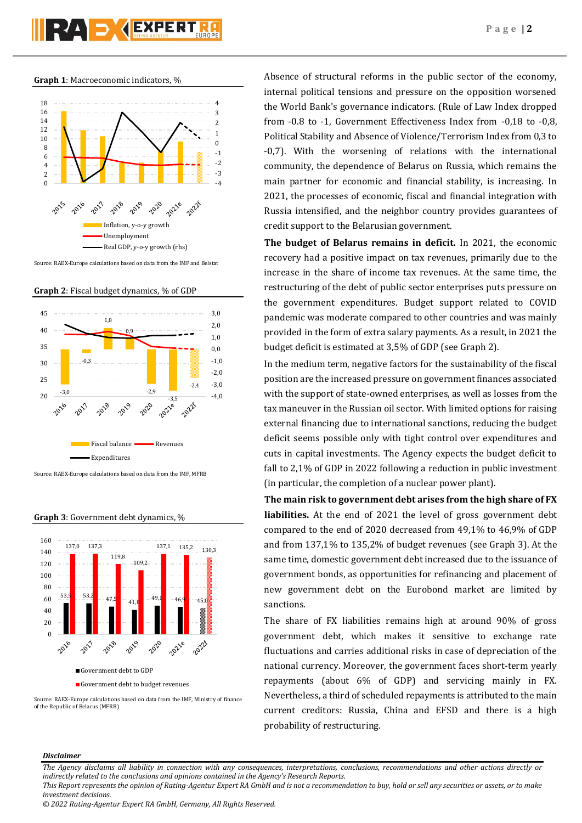**Graph 1**: Macroeconomic indicators, %



Source: RAEX-Europe calculations based on data from the IMF and Belstat

**Graph 2**: Fiscal budget dynamics, % of GDP



**Graph 3**: Government debt dynamics, %



Source: RAEX-Europe calculations based on data from the IMF, Ministry of finance of the Republic of Belarus (MFRB)

Absence of structural reforms in the public sector of the economy, internal political tensions and pressure on the opposition worsened the World Bank's governance indicators. (Rule of Law Index dropped from -0.8 to -1, Government Effectiveness Index from -0,18 to -0,8, Political Stability and Absence of Violence/Terrorism Index from 0,3 to -0,7). With the worsening of relations with the international community, the dependence of Belarus on Russia, which remains the main partner for economic and financial stability, is increasing. In 2021, the processes of economic, fiscal and financial integration with Russia intensified, and the neighbor country provides guarantees of credit support to the Belarusian government.

**The budget of Belarus remains in deficit.** In 2021, the economic recovery had a positive impact on tax revenues, primarily due to the increase in the share of income tax revenues. At the same time, the restructuring of the debt of public sector enterprises puts pressure on the government expenditures. Budget support related to COVID pandemic was moderate compared to other countries and was mainly provided in the form of extra salary payments. As a result, in 2021 the budget deficit is estimated at 3,5% of GDP (see Graph 2).

In the medium term, negative factors for the sustainability of the fiscal position are the increased pressure on government finances associated with the support of state-owned enterprises, as well as losses from the tax maneuver in the Russian oil sector. With limited options for raising external financing due to international sanctions, reducing the budget deficit seems possible only with tight control over expenditures and cuts in capital investments. The Agency expects the budget deficit to fall to 2,1% of GDP in 2022 following a reduction in public investment (in particular, the completion of a nuclear power plant).

**The main risk to government debt arises from the high share of FX liabilities.** At the end of 2021 the level of gross government debt compared to the end of 2020 decreased from 49,1% to 46,9% of GDP and from 137,1% to 135,2% of budget revenues (see Graph 3). At the same time, domestic government debt increased due to the issuance of government bonds, as opportunities for refinancing and placement of new government debt on the Eurobond market are limited by sanctions.

The share of FX liabilities remains high at around 90% of gross government debt, which makes it sensitive to exchange rate fluctuations and carries additional risks in case of depreciation of the national currency. Moreover, the government faces short-term yearly repayments (about 6% of GDP) and servicing mainly in FX. Nevertheless, a third of scheduled repayments is attributed to the main current creditors: Russia, China and EFSD and there is a high probability of restructuring.

#### *Disclaimer*

*The Agency disclaims all liability in connection with any consequences, interpretations, conclusions, recommendations and other actions directly or indirectly related to the conclusions and opinions contained in the Agency's Research Reports.*

*This Report represents the opinion of Rating-Agentur Expert RA GmbH and is not a recommendation to buy, hold or sell any securities or assets, or to make investment decisions.*

*<sup>© 2022</sup> Rating-Agentur Expert RA GmbH, Germany, All Rights Reserved.*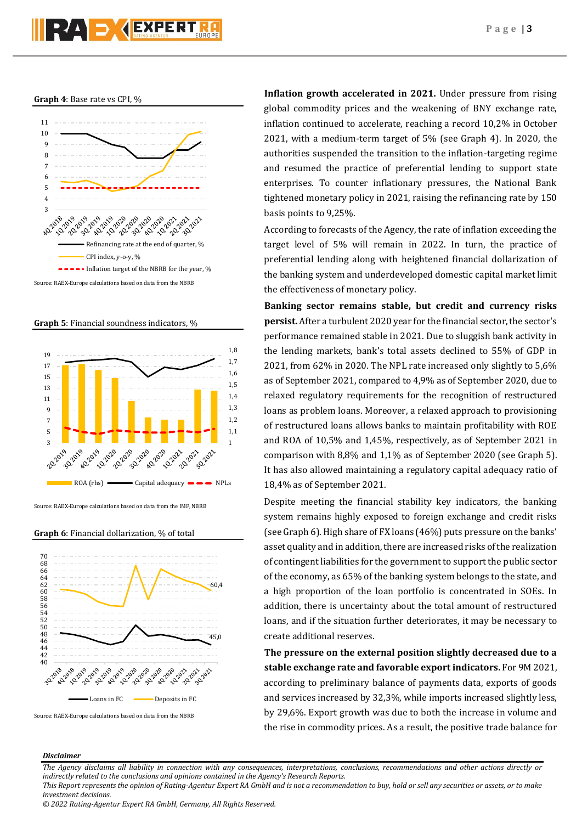**Graph 4**: Base rate vs CPI, %



Source: RAEX-Europe calculations based on data from the NBRB

**Graph 5**: Financial soundness indicators, %



Source: RAEX-Europe calculations based on data from the IMF, NBRB





Source: RAEX-Europe calculations based on data from the NBRB

**Inflation growth accelerated in 2021.** Under pressure from rising global commodity prices and the weakening of BNY exchange rate, inflation continued to accelerate, reaching a record 10,2% in October 2021, with a medium-term target of 5% (see Graph 4). In 2020, the authorities suspended the transition to the inflation-targeting regime and resumed the practice of preferential lending to support state enterprises. To counter inflationary pressures, the National Bank tightened monetary policy in 2021, raising the refinancing rate by 150 basis points to 9,25%.

According to forecasts of the Agency, the rate of inflation exceeding the target level of 5% will remain in 2022. In turn, the practice of preferential lending along with heightened financial dollarization of the banking system and underdeveloped domestic capital market limit the effectiveness of monetary policy.

**Banking sector remains stable, but credit and currency risks persist.** After a turbulent 2020 year for the financial sector, the sector's performance remained stable in 2021. Due to sluggish bank activity in the lending markets, bank's total assets declined to 55% of GDP in 2021, from 62% in 2020. The NPL rate increased only slightly to 5,6% as of September 2021, compared to 4,9% as of September 2020, due to relaxed regulatory requirements for the recognition of restructured loans as problem loans. Moreover, a relaxed approach to provisioning of restructured loans allows banks to maintain profitability with ROE and ROA of 10,5% and 1,45%, respectively, as of September 2021 in comparison with 8,8% and 1,1% as of September 2020 (see Graph 5). It has also allowed maintaining a regulatory capital adequacy ratio of 18,4% as of September 2021.

Despite meeting the financial stability key indicators, the banking system remains highly exposed to foreign exchange and credit risks (see Graph 6). High share of FX loans (46%) puts pressure on the banks' asset quality and in addition, there are increased risks of the realization of contingent liabilities for the government to support the public sector of the economy, as 65% of the banking system belongs to the state, and a high proportion of the loan portfolio is concentrated in SOEs. In addition, there is uncertainty about the total amount of restructured loans, and if the situation further deteriorates, it may be necessary to create additional reserves.

**The pressure on the external position slightly decreased due to a stable exchange rate and favorable export indicators.** For 9M 2021, according to preliminary balance of payments data, exports of goods and services increased by 32,3%, while imports increased slightly less, by 29,6%. Export growth was due to both the increase in volume and the rise in commodity prices. As a result, the positive trade balance for

# *Disclaimer*

*The Agency disclaims all liability in connection with any consequences, interpretations, conclusions, recommendations and other actions directly or indirectly related to the conclusions and opinions contained in the Agency's Research Reports.*

*This Report represents the opinion of Rating-Agentur Expert RA GmbH and is not a recommendation to buy, hold or sell any securities or assets, or to make investment decisions.*

*<sup>© 2022</sup> Rating-Agentur Expert RA GmbH, Germany, All Rights Reserved.*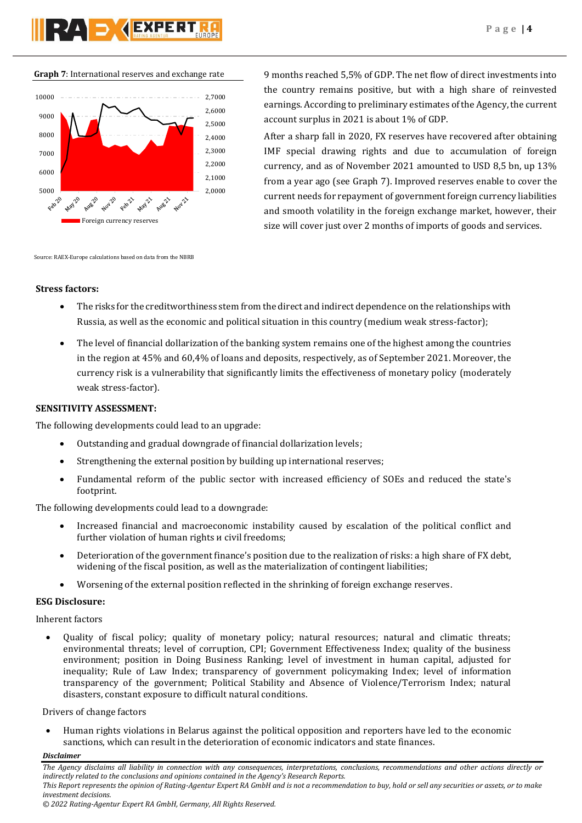# **Graph 7**: International reserves and exchange rate

**PVA SV4EXPERT** 



9 months reached 5,5% of GDP. The net flow of direct investments into the country remains positive, but with a high share of reinvested earnings. According to preliminary estimates of the Agency, the current account surplus in 2021 is about 1% of GDP.

After a sharp fall in 2020, FX reserves have recovered after obtaining IMF special drawing rights and due to accumulation of foreign currency, and as of November 2021 amounted to USD 8,5 bn, up 13% from a year ago (see Graph 7). Improved reserves enable to cover the current needs for repayment of government foreign currency liabilities and smooth volatility in the foreign exchange market, however, their size will cover just over 2 months of imports of goods and services.

Source: RAEX-Europe calculations based on data from the NBRB

# **Stress factors:**

- The risks for the creditworthiness stem from the direct and indirect dependence on the relationships with Russia, as well as the economic and political situation in this country (medium weak stress-factor);
- The level of financial dollarization of the banking system remains one of the highest among the countries in the region at 45% and 60,4% of loans and deposits, respectively, as of September 2021. Moreover, the currency risk is a vulnerability that significantly limits the effectiveness of monetary policy (moderately weak stress-factor).

# **SENSITIVITY ASSESSMENT:**

The following developments could lead to an upgrade:

- Outstanding and gradual downgrade of financial dollarization levels;
- Strengthening the external position by building up international reserves;
- Fundamental reform of the public sector with increased efficiency of SOEs and reduced the state's footprint.

The following developments could lead to a downgrade:

- Increased financial and macroeconomic instability caused by escalation of the political conflict and further violation of human rights и civil freedoms;
- Deterioration of the government finance's position due to the realization of risks: a high share of FX debt, widening of the fiscal position, as well as the materialization of contingent liabilities;
- Worsening of the external position reflected in the shrinking of foreign exchange reserves.

# **ESG Disclosure:**

Inherent factors

 Quality of fiscal policy; quality of monetary policy; natural resources; natural and climatic threats; environmental threats; level of corruption, CPI; Government Effectiveness Index; quality of the business environment; position in Doing Business Ranking; level of investment in human capital, adjusted for inequality; Rule of Law Index; transparency of government policymaking Index; level of information transparency of the government; Political Stability and Absence of Violence/Terrorism Index; natural disasters, constant exposure to difficult natural conditions.

Drivers of change factors

 Human rights violations in Belarus against the political opposition and reporters have led to the economic sanctions, which can result in the deterioration of economic indicators and state finances.

*investment decisions.*

*Disclaimer* 

*The Agency disclaims all liability in connection with any consequences, interpretations, conclusions, recommendations and other actions directly or indirectly related to the conclusions and opinions contained in the Agency's Research Reports. This Report represents the opinion of Rating-Agentur Expert RA GmbH and is not a recommendation to buy, hold or sell any securities or assets, or to make*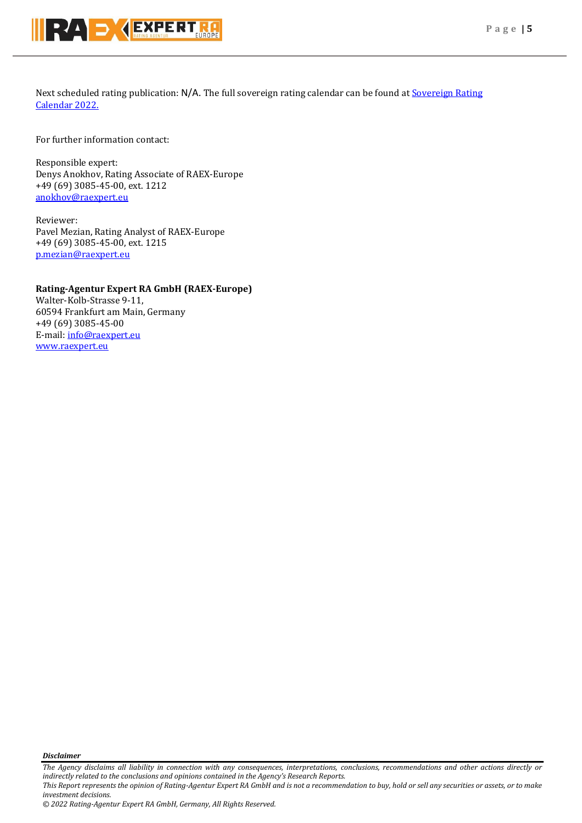

Next scheduled rating publication: N/A. The full sovereign rating calendar can be found at **Sovereign Rating** [Calendar 2022.](https://raexpert.eu/sovereign/#conf-tab-5)

For further information contact:

Responsible expert: Denys Anokhov, Rating Associate of RAEX-Europe +49 (69) 3085-45-00, ext. 1212 [anokhov@raexpert.eu](mailto:anokhov@raexpert.eu)

Reviewer: Pavel Mezian, Rating Analyst of RAEX-Europe +49 (69) 3085-45-00, ext. 1215 [p.mezian@raexpert.eu](mailto:p.mezian@raexpert.eu)

**Rating-Agentur Expert RA GmbH (RAEX-Europe)**

Walter-Kolb-Strasse 9-11, 60594 Frankfurt am Main, Germany +49 (69) 3085-45-00 E-mail[: info@raexpert.eu](mailto:info@raexpert.eu) [www.raexpert.eu](http://raexpert.eu/)

*Disclaimer* 

*The Agency disclaims all liability in connection with any consequences, interpretations, conclusions, recommendations and other actions directly or indirectly related to the conclusions and opinions contained in the Agency's Research Reports. This Report represents the opinion of Rating-Agentur Expert RA GmbH and is not a recommendation to buy, hold or sell any securities or assets, or to make* 

*investment decisions.*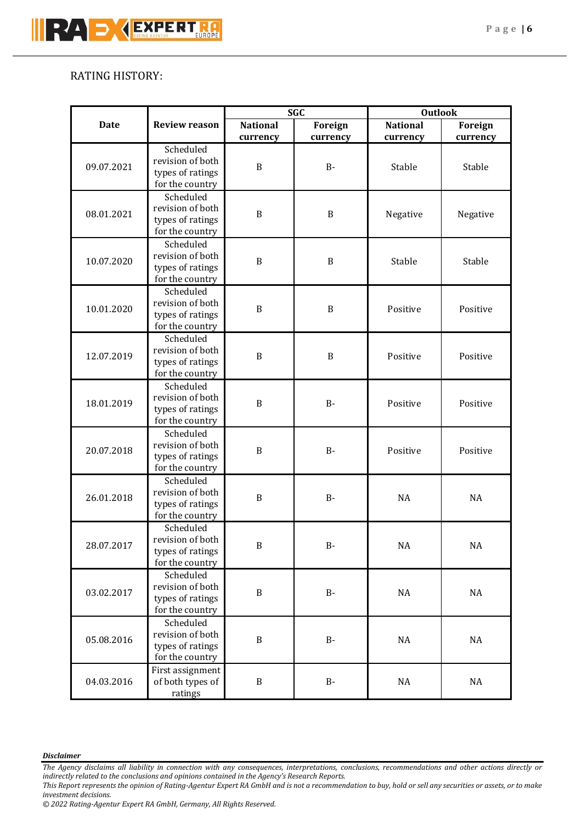# RATING HISTORY:

|             |                                                                      | <b>SGC</b>                  |                     | <b>Outlook</b>              |                     |
|-------------|----------------------------------------------------------------------|-----------------------------|---------------------|-----------------------------|---------------------|
| <b>Date</b> | <b>Review reason</b>                                                 | <b>National</b><br>currency | Foreign<br>currency | <b>National</b><br>currency | Foreign<br>currency |
| 09.07.2021  | Scheduled<br>revision of both<br>types of ratings<br>for the country | B                           | <b>B-</b>           | Stable                      | Stable              |
| 08.01.2021  | Scheduled<br>revision of both<br>types of ratings<br>for the country | $\, {\bf B}$                | $\, {\bf B}$        | Negative                    | Negative            |
| 10.07.2020  | Scheduled<br>revision of both<br>types of ratings<br>for the country | B                           | $\, {\bf B}$        | Stable                      | Stable              |
| 10.01.2020  | Scheduled<br>revision of both<br>types of ratings<br>for the country | $\, {\bf B}$                | $\, {\bf B}$        | Positive                    | Positive            |
| 12.07.2019  | Scheduled<br>revision of both<br>types of ratings<br>for the country | B                           | B                   | Positive                    | Positive            |
| 18.01.2019  | Scheduled<br>revision of both<br>types of ratings<br>for the country | $\mathbf B$                 | <b>B-</b>           | Positive                    | Positive            |
| 20.07.2018  | Scheduled<br>revision of both<br>types of ratings<br>for the country | B                           | $B -$               | Positive                    | Positive            |
| 26.01.2018  | Scheduled<br>revision of both<br>types of ratings<br>for the country | B                           | $B -$               | <b>NA</b>                   | <b>NA</b>           |
| 28.07.2017  | Scheduled<br>revision of both<br>types of ratings<br>for the country | $\, {\bf B}$                | <b>B-</b>           | $\rm NA$                    | $\rm NA$            |
| 03.02.2017  | Scheduled<br>revision of both<br>types of ratings<br>for the country | $\, {\bf B}$                | $B -$               | $\rm NA$                    | $\rm NA$            |
| 05.08.2016  | Scheduled<br>revision of both<br>types of ratings<br>for the country | $\, {\bf B}$                | $B -$               | $\rm NA$                    | NA                  |
| 04.03.2016  | First assignment<br>of both types of<br>ratings                      | $\, {\bf B}$                | $B -$               | $\rm NA$                    | NA                  |

# *Disclaimer*

*The Agency disclaims all liability in connection with any consequences, interpretations, conclusions, recommendations and other actions directly or indirectly related to the conclusions and opinions contained in the Agency's Research Reports.*

*This Report represents the opinion of Rating-Agentur Expert RA GmbH and is not a recommendation to buy, hold or sell any securities or assets, or to make investment decisions.*